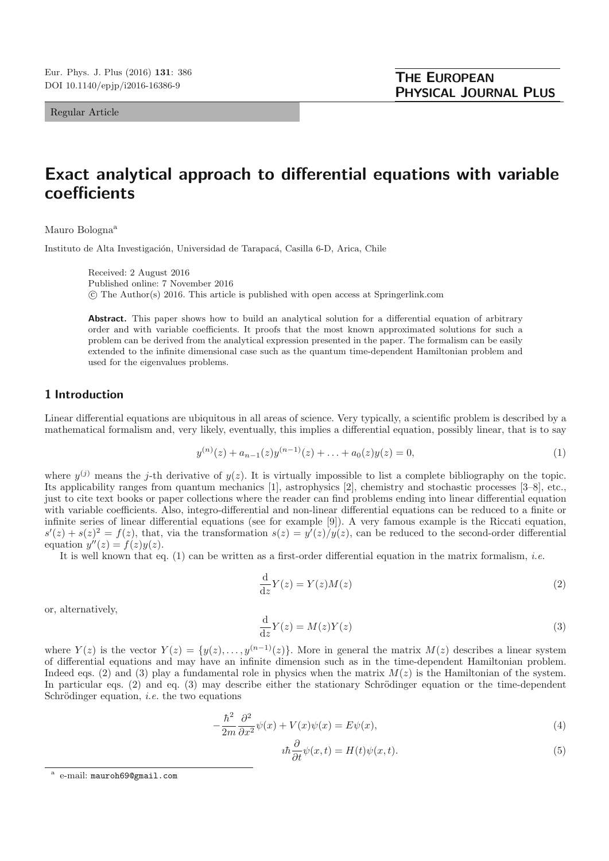Regular Article

# **Exact analytical approach to differential equations with variable coefficients**

Mauro Bologna<sup>a</sup>

Instituto de Alta Investigación, Universidad de Tarapacá, Casilla 6-D, Arica, Chile

Received: 2 August 2016 Published online: 7 November 2016 © The Author(s) 2016. This article is published with open access at Springerlink.com

Abstract. This paper shows how to build an analytical solution for a differential equation of arbitrary order and with variable coefficients. It proofs that the most known approximated solutions for such a problem can be derived from the analytical expression presented in the paper. The formalism can be easily extended to the infinite dimensional case such as the quantum time-dependent Hamiltonian problem and used for the eigenvalues problems.

# **1 Introduction**

Linear differential equations are ubiquitous in all areas of science. Very typically, a scientific problem is described by a mathematical formalism and, very likely, eventually, this implies a differential equation, possibly linear, that is to say

$$
y^{(n)}(z) + a_{n-1}(z)y^{(n-1)}(z) + \ldots + a_0(z)y(z) = 0,
$$
\n(1)

where  $y^{(j)}$  means the j-th derivative of  $y(z)$ . It is virtually impossible to list a complete bibliography on the topic. Its applicability ranges from quantum mechanics [1], astrophysics [2], chemistry and stochastic processes [3–8], etc., just to cite text books or paper collections where the reader can find problems ending into linear differential equation with variable coefficients. Also, integro-differential and non-linear differential equations can be reduced to a finite or infinite series of linear differential equations (see for example [9]). A very famous example is the Riccati equation,  $s'(z) + s(z)^2 = f(z)$ , that, via the transformation  $s(z) = y'(z)/y(z)$ , can be reduced to the second-order differential equation  $y''(z) = f(z)y(z)$ .

It is well known that eq. (1) can be written as a first-order differential equation in the matrix formalism, *i.e.* 

$$
\frac{\mathrm{d}}{\mathrm{d}z}Y(z) = Y(z)M(z) \tag{2}
$$

or, alternatively,

$$
\frac{\mathrm{d}}{\mathrm{d}z}Y(z) = M(z)Y(z) \tag{3}
$$

where  $Y(z)$  is the vector  $Y(z) = \{y(z),...,y^{(n-1)}(z)\}\.$  More in general the matrix  $M(z)$  describes a linear system of differential equations and may have an infinite dimension such as in the time-dependent Hamiltonian problem. Indeed eqs. (2) and (3) play a fundamental role in physics when the matrix  $M(z)$  is the Hamiltonian of the system. In particular eqs.  $(2)$  and eq.  $(3)$  may describe either the stationary Schrödinger equation or the time-dependent Schrödinger equation, *i.e.* the two equations

$$
-\frac{\hbar^2}{2m}\frac{\partial^2}{\partial x^2}\psi(x) + V(x)\psi(x) = E\psi(x),\tag{4}
$$

$$
i\hbar \frac{\partial}{\partial t}\psi(x,t) = H(t)\psi(x,t).
$$
\n(5)

e-mail: mauroh69@gmail.com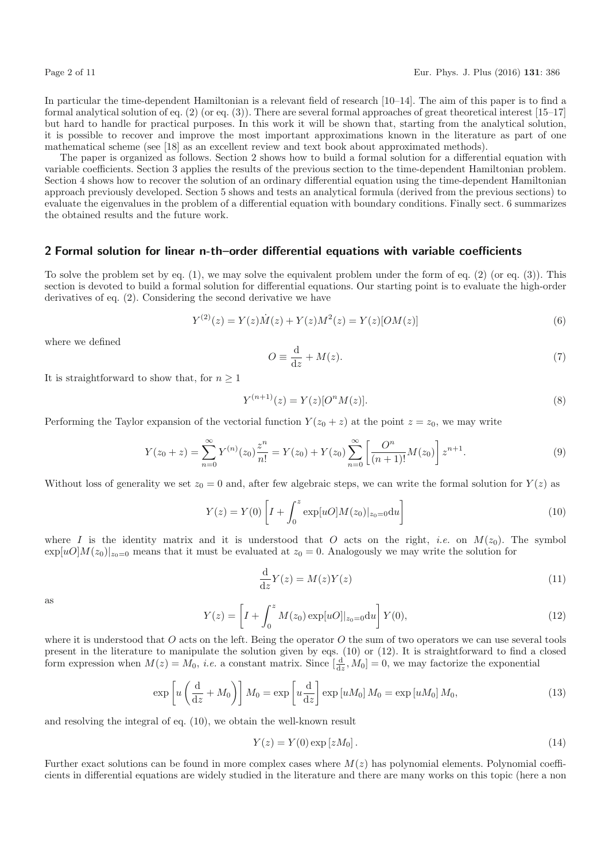In particular the time-dependent Hamiltonian is a relevant field of research [10–14]. The aim of this paper is to find a formal analytical solution of eq. (2) (or eq. (3)). There are several formal approaches of great theoretical interest [15–17] but hard to handle for practical purposes. In this work it will be shown that, starting from the analytical solution, it is possible to recover and improve the most important approximations known in the literature as part of one mathematical scheme (see [18] as an excellent review and text book about approximated methods).

The paper is organized as follows. Section 2 shows how to build a formal solution for a differential equation with variable coefficients. Section 3 applies the results of the previous section to the time-dependent Hamiltonian problem. Section 4 shows how to recover the solution of an ordinary differential equation using the time-dependent Hamiltonian approach previously developed. Section 5 shows and tests an analytical formula (derived from the previous sections) to evaluate the eigenvalues in the problem of a differential equation with boundary conditions. Finally sect. 6 summarizes the obtained results and the future work.

## **2 Formal solution for linear n-th–order differential equations with variable coefficients**

To solve the problem set by eq.  $(1)$ , we may solve the equivalent problem under the form of eq.  $(2)$  (or eq.  $(3)$ ). This section is devoted to build a formal solution for differential equations. Our starting point is to evaluate the high-order derivatives of eq. (2). Considering the second derivative we have

$$
Y^{(2)}(z) = Y(z)\dot{M}(z) + Y(z)M^{2}(z) = Y(z)[OM(z)]
$$
\n(6)

where we defined

$$
O \equiv \frac{\mathrm{d}}{\mathrm{d}z} + M(z). \tag{7}
$$

It is straightforward to show that, for  $n \geq 1$ 

$$
Y^{(n+1)}(z) = Y(z)[O^n M(z)].
$$
\n(8)

Performing the Taylor expansion of the vectorial function  $Y(z_0 + z)$  at the point  $z = z_0$ , we may write

$$
Y(z_0 + z) = \sum_{n=0}^{\infty} Y^{(n)}(z_0) \frac{z^n}{n!} = Y(z_0) + Y(z_0) \sum_{n=0}^{\infty} \left[ \frac{O^n}{(n+1)!} M(z_0) \right] z^{n+1}.
$$
 (9)

Without loss of generality we set  $z_0 = 0$  and, after few algebraic steps, we can write the formal solution for  $Y(z)$  as

$$
Y(z) = Y(0) \left[ I + \int_0^z \exp[uO] M(z_0)|_{z_0=0} \mathrm{d}u \right]
$$
 (10)

where I is the identity matrix and it is understood that O acts on the right, *i.e.* on  $M(z_0)$ . The symbol  $\exp[uO]M(z_0)|_{z_0=0}$  means that it must be evaluated at  $z_0=0$ . Analogously we may write the solution for

$$
\frac{\mathrm{d}}{\mathrm{d}z}Y(z) = M(z)Y(z) \tag{11}
$$

as

$$
Y(z) = \left[ I + \int_0^z M(z_0) \exp[uO]|_{z_0=0} \, du \right] Y(0), \tag{12}
$$

where it is understood that O acts on the left. Being the operator O the sum of two operators we can use several tools present in the literature to manipulate the solution given by eqs. (10) or (12). It is straightforward to find a closed form expression when  $M(z) = M_0$ , *i.e.* a constant matrix. Since  $\left[\frac{d}{dz}, M_0\right] = 0$ , we may factorize the exponential

$$
\exp\left[u\left(\frac{\mathrm{d}}{\mathrm{d}z}+M_0\right)\right]M_0 = \exp\left[u\frac{\mathrm{d}}{\mathrm{d}z}\right]\exp\left[uM_0\right]M_0 = \exp\left[uM_0\right]M_0,\tag{13}
$$

and resolving the integral of eq. (10), we obtain the well-known result

$$
Y(z) = Y(0) \exp\left[zM_0\right].\tag{14}
$$

Further exact solutions can be found in more complex cases where  $M(z)$  has polynomial elements. Polynomial coefficients in differential equations are widely studied in the literature and there are many works on this topic (here a non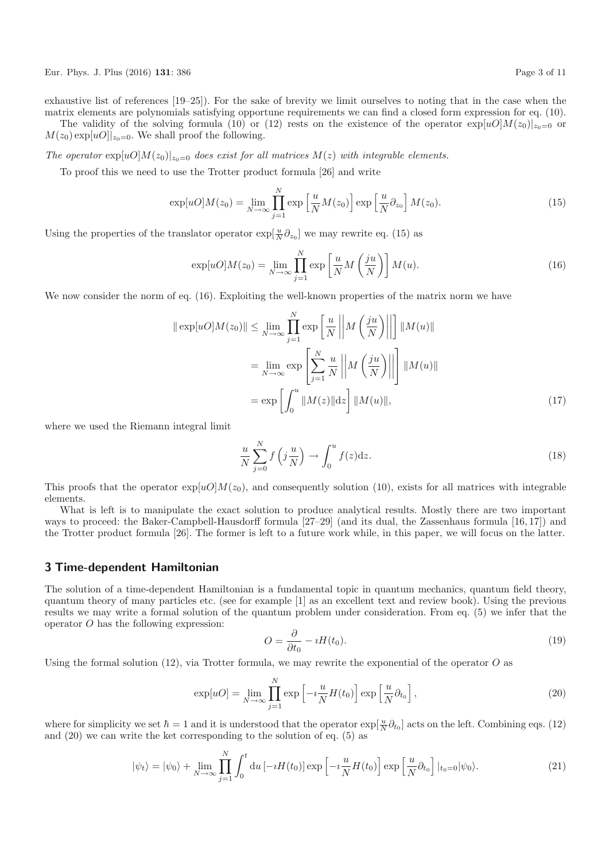Eur. Phys. J. Plus (2016) **131**: 386 Page 3 of 11

 $M(z_0) \exp[uO]|_{z_0=0}$ . We shall proof the following.

exhaustive list of references [19–25]). For the sake of brevity we limit ourselves to noting that in the case when the matrix elements are polynomials satisfying opportune requirements we can find a closed form expression for eq. (10). The validity of the solving formula (10) or (12) rests on the existence of the operator  $\exp[u0]M(z_0)|_{z_0=0}$  or

The operator  $\exp[uO]M(z_0)|_{z_0=0}$  does exist for all matrices  $M(z)$  with integrable elements.

To proof this we need to use the Trotter product formula [26] and write

$$
\exp[uO]M(z_0) = \lim_{N \to \infty} \prod_{j=1}^{N} \exp\left[\frac{u}{N}M(z_0)\right] \exp\left[\frac{u}{N}\partial_{z_0}\right]M(z_0).
$$
\n(15)

Using the properties of the translator operator  $\exp[\frac{u}{N}\partial_{z_0}]$  we may rewrite eq. (15) as

$$
\exp[uO]M(z_0) = \lim_{N \to \infty} \prod_{j=1}^{N} \exp\left[\frac{u}{N}M\left(\frac{ju}{N}\right)\right]M(u). \tag{16}
$$

We now consider the norm of eq. (16). Exploiting the well-known properties of the matrix norm we have

$$
\|\exp[uO]M(z_0)\| \le \lim_{N \to \infty} \prod_{j=1}^N \exp\left[\frac{u}{N} \left\|M\left(\frac{ju}{N}\right)\right\|\right] \|M(u)\|
$$

$$
= \lim_{N \to \infty} \exp\left[\sum_{j=1}^N \frac{u}{N} \left\|M\left(\frac{ju}{N}\right)\right\|\right] \|M(u)\|
$$

$$
= \exp\left[\int_0^u \|M(z)\|dz\right] \|M(u)\|,
$$
(17)

where we used the Riemann integral limit

$$
\frac{u}{N} \sum_{j=0}^{N} f\left(j\frac{u}{N}\right) \to \int_{0}^{u} f(z) \mathrm{d}z. \tag{18}
$$

This proofs that the operator  $\exp[u\mathcal{O}]M(z_0)$ , and consequently solution (10), exists for all matrices with integrable elements.

What is left is to manipulate the exact solution to produce analytical results. Mostly there are two important ways to proceed: the Baker-Campbell-Hausdorff formula [27–29] (and its dual, the Zassenhaus formula [16,17]) and the Trotter product formula [26]. The former is left to a future work while, in this paper, we will focus on the latter.

## **3 Time-dependent Hamiltonian**

The solution of a time-dependent Hamiltonian is a fundamental topic in quantum mechanics, quantum field theory, quantum theory of many particles etc. (see for example [1] as an excellent text and review book). Using the previous results we may write a formal solution of the quantum problem under consideration. From eq. (5) we infer that the operator O has the following expression:

$$
O = \frac{\partial}{\partial t_0} - iH(t_0). \tag{19}
$$

Using the formal solution  $(12)$ , via Trotter formula, we may rewrite the exponential of the operator O as

$$
\exp[uO] = \lim_{N \to \infty} \prod_{j=1}^{N} \exp\left[-i\frac{u}{N}H(t_0)\right] \exp\left[\frac{u}{N}\partial_{t_0}\right],\tag{20}
$$

where for simplicity we set  $\hbar = 1$  and it is understood that the operator  $\exp[\frac{u}{N}\partial_{t_0}]$  acts on the left. Combining eqs. (12) and (20) we can write the ket corresponding to the solution of eq. (5) as

$$
|\psi_t\rangle = |\psi_0\rangle + \lim_{N \to \infty} \prod_{j=1}^N \int_0^t \mathrm{d}u \left[ -i H(t_0) \right] \exp\left[ -i \frac{u}{N} H(t_0) \right] \exp\left[ \frac{u}{N} \partial_{t_0} \right] |_{t_0=0} |\psi_0\rangle. \tag{21}
$$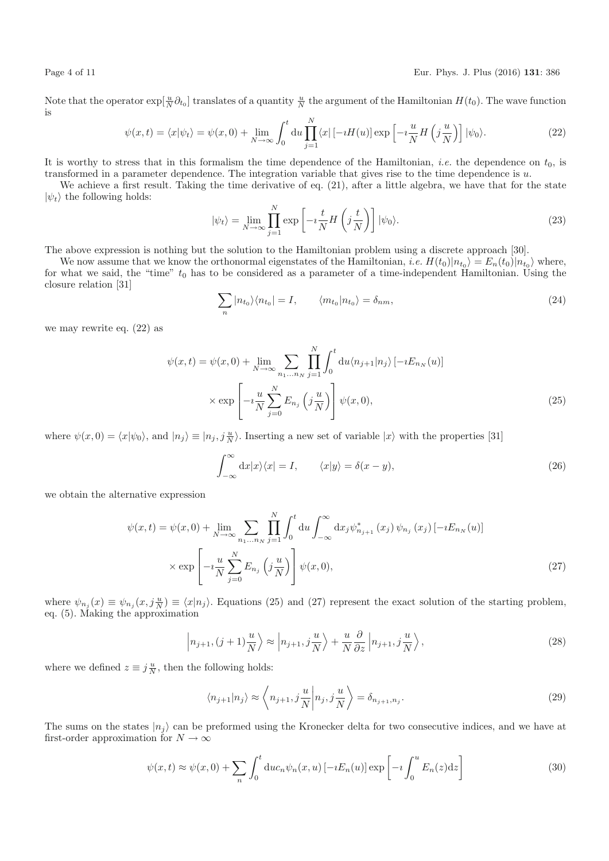Note that the operator  $\exp[\frac{u}{N}\partial_{t_0}]$  translates of a quantity  $\frac{u}{N}$  the argument of the Hamiltonian  $H(t_0)$ . The wave function is

$$
\psi(x,t) = \langle x|\psi_t\rangle = \psi(x,0) + \lim_{N \to \infty} \int_0^t du \prod_{j=1}^N \langle x| \left[ -iH(u) \right] \exp\left[ -i\frac{u}{N}H\left( j\frac{u}{N} \right) \right] |\psi_0\rangle.
$$
 (22)

It is worthy to stress that in this formalism the time dependence of the Hamiltonian, *i.e.* the dependence on  $t_0$ , is transformed in a parameter dependence. The integration variable that gives rise to the time dependence is  $u$ .

We achieve a first result. Taking the time derivative of eq.  $(21)$ , after a little algebra, we have that for the state  $|\psi_t\rangle$  the following holds:

$$
|\psi_t\rangle = \lim_{N \to \infty} \prod_{j=1}^{N} \exp\left[-i\frac{t}{N} H\left(j\frac{t}{N}\right)\right] |\psi_0\rangle.
$$
 (23)

The above expression is nothing but the solution to the Hamiltonian problem using a discrete approach [30].

We now assume that we know the orthonormal eigenstates of the Hamiltonian, *i.e.*  $H(t_0)|n_{t_0}\rangle = E_n(t_0)|n_{t_0}\rangle$  where, for what we said, the "time"  $t_0$  has to be considered as a parameter of a time-independent Hamiltonian. Using the closure relation [31]

$$
\sum_{n} |n_{t_0}\rangle\langle n_{t_0}| = I, \qquad \langle m_{t_0}|n_{t_0}\rangle = \delta_{nm}, \qquad (24)
$$

we may rewrite eq. (22) as

$$
\psi(x,t) = \psi(x,0) + \lim_{N \to \infty} \sum_{n_1...n_N} \prod_{j=1}^N \int_0^t \mathrm{d}u \langle n_{j+1} | n_j \rangle \left[ -i E_{n_N}(u) \right]
$$

$$
\times \exp\left[ -i \frac{u}{N} \sum_{j=0}^N E_{n_j}\left( j \frac{u}{N} \right) \right] \psi(x,0), \tag{25}
$$

where  $\psi(x,0) = \langle x | \psi_0 \rangle$ , and  $|n_j \rangle \equiv |n_j, j \frac{u}{N} \rangle$ . Inserting a new set of variable  $|x \rangle$  with the properties [31]

$$
\int_{-\infty}^{\infty} dx |x\rangle\langle x| = I, \qquad \langle x|y\rangle = \delta(x - y), \tag{26}
$$

we obtain the alternative expression

$$
\psi(x,t) = \psi(x,0) + \lim_{N \to \infty} \sum_{n_1...n_N} \prod_{j=1}^{N} \int_0^t du \int_{-\infty}^{\infty} dx_j \psi_{n_{j+1}}^*(x_j) \psi_{n_j}(x_j) [-iE_{n_N}(u)]
$$
  
 
$$
\times \exp\left[ -i\frac{u}{N} \sum_{j=0}^{N} E_{n_j} \left( j\frac{u}{N} \right) \right] \psi(x,0), \tag{27}
$$

where  $\psi_{n_j}(x) \equiv \psi_{n_j}(x, j\frac{u}{N}) \equiv \langle x|n_j \rangle$ . Equations (25) and (27) represent the exact solution of the starting problem, eq. (5). Making the approximation

$$
\left| n_{j+1}, (j+1)\frac{u}{N} \right\rangle \approx \left| n_{j+1}, j\frac{u}{N} \right\rangle + \frac{u}{N} \frac{\partial}{\partial z} \left| n_{j+1}, j\frac{u}{N} \right\rangle, \tag{28}
$$

where we defined  $z \equiv j\frac{u}{N}$ , then the following holds:

$$
\langle n_{j+1}|n_j \rangle \approx \left\langle n_{j+1}, j\frac{u}{N} \middle| n_j, j\frac{u}{N} \right\rangle = \delta_{n_{j+1}, n_j}.\tag{29}
$$

The sums on the states  $|n_i\rangle$  can be preformed using the Kronecker delta for two consecutive indices, and we have at first-order approximation for  $N \to \infty$ 

$$
\psi(x,t) \approx \psi(x,0) + \sum_{n} \int_{0}^{t} \mathrm{d}u c_{n} \psi_{n}(x,u) \left[ -i E_{n}(u) \right] \exp\left[ -i \int_{0}^{u} E_{n}(z) \mathrm{d}z \right] \tag{30}
$$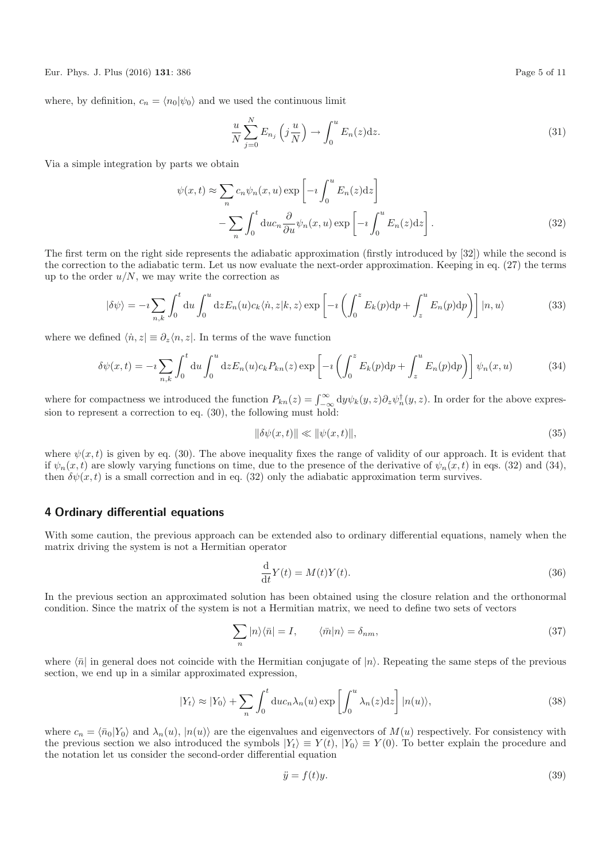Eur. Phys. J. Plus (2016) **131**: 386 Page 5 of 11

where, by definition,  $c_n = \langle n_0|\psi_0\rangle$  and we used the continuous limit

$$
\frac{u}{N} \sum_{j=0}^{N} E_{n_j} \left( j \frac{u}{N} \right) \to \int_0^u E_n(z) \mathrm{d} z. \tag{31}
$$

Via a simple integration by parts we obtain

$$
\psi(x,t) \approx \sum_{n} c_n \psi_n(x,u) \exp\left[-i \int_0^u E_n(z) dz\right]
$$

$$
-\sum_{n} \int_0^t du c_n \frac{\partial}{\partial u} \psi_n(x,u) \exp\left[-i \int_0^u E_n(z) dz\right].
$$
(32)

The first term on the right side represents the adiabatic approximation (firstly introduced by [32]) while the second is the correction to the adiabatic term. Let us now evaluate the next-order approximation. Keeping in eq. (27) the terms up to the order  $u/N$ , we may write the correction as

$$
|\delta\psi\rangle = -i \sum_{n,k} \int_0^t du \int_0^u dz E_n(u) c_k \langle \dot{n}, z | k, z \rangle \exp\left[ -i \left( \int_0^z E_k(p) dp + \int_z^u E_n(p) dp \right) \right] |n, u\rangle \tag{33}
$$

where we defined  $\langle \dot{n},z|\equiv \partial_z\langle n,z|$ . In terms of the wave function

$$
\delta\psi(x,t) = -i\sum_{n,k} \int_0^t \mathrm{d}u \int_0^u \mathrm{d}z E_n(u) c_k P_{kn}(z) \exp\left[-i\left(\int_0^z E_k(p) \mathrm{d}p + \int_z^u E_n(p) \mathrm{d}p\right)\right] \psi_n(x,u) \tag{34}
$$

where for compactness we introduced the function  $P_{kn}(z) = \int_{-\infty}^{\infty} dy \psi_k(y, z) \partial_z \psi_n^{\dagger}(y, z)$ . In order for the above expression to represent a correction to eq. (30), the following must hold:

$$
\|\delta\psi(x,t)\| \ll \|\psi(x,t)\|,\tag{35}
$$

where  $\psi(x,t)$  is given by eq. (30). The above inequality fixes the range of validity of our approach. It is evident that if  $\psi_n(x,t)$  are slowly varying functions on time, due to the presence of the derivative of  $\psi_n(x,t)$  in eqs. (32) and (34), then  $\delta\psi(x,t)$  is a small correction and in eq. (32) only the adiabatic approximation term survives.

## **4 Ordinary differential equations**

With some caution, the previous approach can be extended also to ordinary differential equations, namely when the matrix driving the system is not a Hermitian operator

$$
\frac{\mathrm{d}}{\mathrm{d}t}Y(t) = M(t)Y(t). \tag{36}
$$

In the previous section an approximated solution has been obtained using the closure relation and the orthonormal condition. Since the matrix of the system is not a Hermitian matrix, we need to define two sets of vectors

$$
\sum_{n} |n\rangle\langle\bar{n}| = I, \qquad \langle\bar{m}|n\rangle = \delta_{nm}, \qquad (37)
$$

where  $\langle \bar{n} |$  in general does not coincide with the Hermitian conjugate of  $|n\rangle$ . Repeating the same steps of the previous section, we end up in a similar approximated expression,

$$
|Y_t\rangle \approx |Y_0\rangle + \sum_n \int_0^t \mathrm{d}u c_n \lambda_n(u) \exp\left[\int_0^u \lambda_n(z) \mathrm{d}z\right] |n(u)\rangle,\tag{38}
$$

where  $c_n = \langle \bar{n}_0|Y_0\rangle$  and  $\lambda_n(u)$ ,  $|n(u)\rangle$  are the eigenvalues and eigenvectors of  $M(u)$  respectively. For consistency with the previous section we also introduced the symbols  $|Y_t\rangle \equiv Y(t)$ ,  $|Y_0\rangle \equiv Y(0)$ . To better explain the procedure and the notation let us consider the second-order differential equation

$$
\ddot{y} = f(t)y.\tag{39}
$$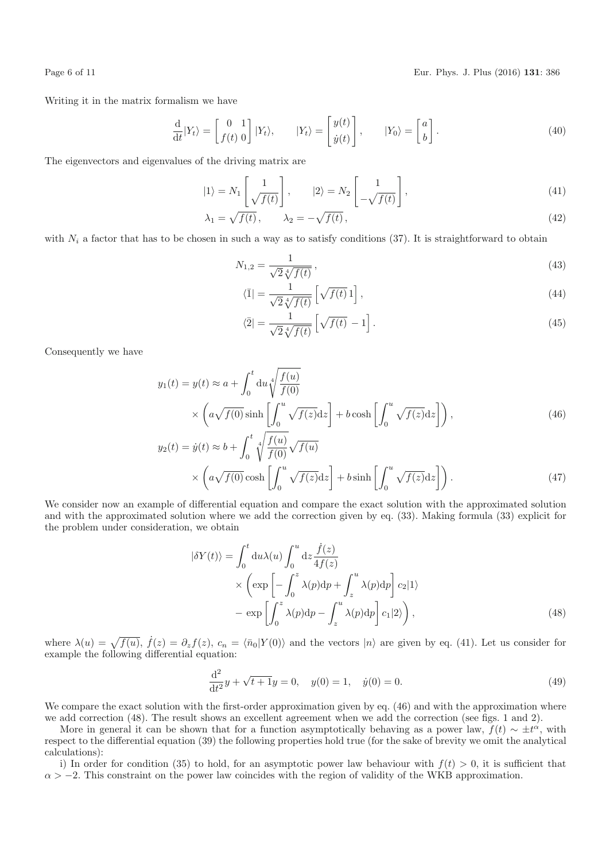Page 6 of 11 Eur. Phys. J. Plus (2016) **131**: 386

Writing it in the matrix formalism we have

$$
\frac{\mathrm{d}}{\mathrm{d}t}|Y_t\rangle = \begin{bmatrix} 0 & 1 \\ f(t) & 0 \end{bmatrix}|Y_t\rangle, \qquad |Y_t\rangle = \begin{bmatrix} y(t) \\ \dot{y}(t) \end{bmatrix}, \qquad |Y_0\rangle = \begin{bmatrix} a \\ b \end{bmatrix}.
$$
\n(40)

The eigenvectors and eigenvalues of the driving matrix are

$$
|1\rangle = N_1 \left[ \frac{1}{\sqrt{f(t)}} \right], \qquad |2\rangle = N_2 \left[ \frac{1}{-\sqrt{f(t)}} \right], \tag{41}
$$

$$
\lambda_1 = \sqrt{f(t)}, \qquad \lambda_2 = -\sqrt{f(t)}, \tag{42}
$$

with  $N_i$  a factor that has to be chosen in such a way as to satisfy conditions (37). It is straightforward to obtain

$$
N_{1,2} = \frac{1}{\sqrt{2}\sqrt[4]{f(t)}},\tag{43}
$$

$$
\langle \bar{1}| = \frac{1}{\sqrt{2}\sqrt[4]{f(t)}} \left[ \sqrt{f(t)} \, 1 \right],\tag{44}
$$

$$
\langle \bar{2} | = \frac{1}{\sqrt{2} \sqrt[4]{f(t)}} \left[ \sqrt{f(t)} - 1 \right]. \tag{45}
$$

Consequently we have

$$
y_1(t) = y(t) \approx a + \int_0^t du \sqrt{\frac{f(u)}{f(0)}}
$$
  
\$\times \left( a\sqrt{f(0)} \sinh\left[\int\_0^u \sqrt{f(z)} dz\right] + b \cosh\left[\int\_0^u \sqrt{f(z)} dz\right] \right),\$  

$$
y_2(t) = \dot{y}(t) \approx b + \int_0^t \sqrt{\frac{f(u)}{f(u)}} \sqrt{f(u)}.
$$
 (46)

$$
y_2(t) = \dot{y}(t) \approx b + \int_0^t \sqrt{\frac{f'(u)}{f(0)}} \sqrt{f(u)}
$$

$$
\times \left( a \sqrt{f(0)} \cosh\left[\int_0^u \sqrt{f(z)} dz\right] + b \sinh\left[\int_0^u \sqrt{f(z)} dz\right] \right). \tag{47}
$$

We consider now an example of differential equation and compare the exact solution with the approximated solution and with the approximated solution where we add the correction given by eq. (33). Making formula (33) explicit for the problem under consideration, we obtain

$$
\begin{split} |\delta Y(t)\rangle &= \int_0^t \mathrm{d}u \lambda(u) \int_0^u \mathrm{d}z \frac{\dot{f}(z)}{4f(z)} \\ &\times \left( \exp\left[ -\int_0^z \lambda(p) \mathrm{d}p + \int_z^u \lambda(p) \mathrm{d}p \right] c_2 |1\rangle \right. \\ &\left. - \exp\left[ \int_0^z \lambda(p) \mathrm{d}p - \int_z^u \lambda(p) \mathrm{d}p \right] c_1 |2\rangle \right), \end{split} \tag{48}
$$

where  $\lambda(u) = \sqrt{f(u)}$ ,  $\dot{f}(z) = \partial_z f(z)$ ,  $c_n = \langle \bar{n}_0 | Y(0) \rangle$  and the vectors  $|n\rangle$  are given by eq. (41). Let us consider for example the following differential equation:

$$
\frac{\mathrm{d}^2}{\mathrm{d}t^2}y + \sqrt{t+1}y = 0, \quad y(0) = 1, \quad \dot{y}(0) = 0.
$$
\n(49)

We compare the exact solution with the first-order approximation given by eq.  $(46)$  and with the approximation where we add correction (48). The result shows an excellent agreement when we add the correction (see figs. 1 and 2).

More in general it can be shown that for a function asymptotically behaving as a power law,  $f(t) \sim \pm t^{\alpha}$ , with respect to the differential equation (39) the following properties hold true (for the sake of brevity we omit the analytical calculations):

i) In order for condition (35) to hold, for an asymptotic power law behaviour with  $f(t) > 0$ , it is sufficient that  $\alpha > -2$ . This constraint on the power law coincides with the region of validity of the WKB approximation.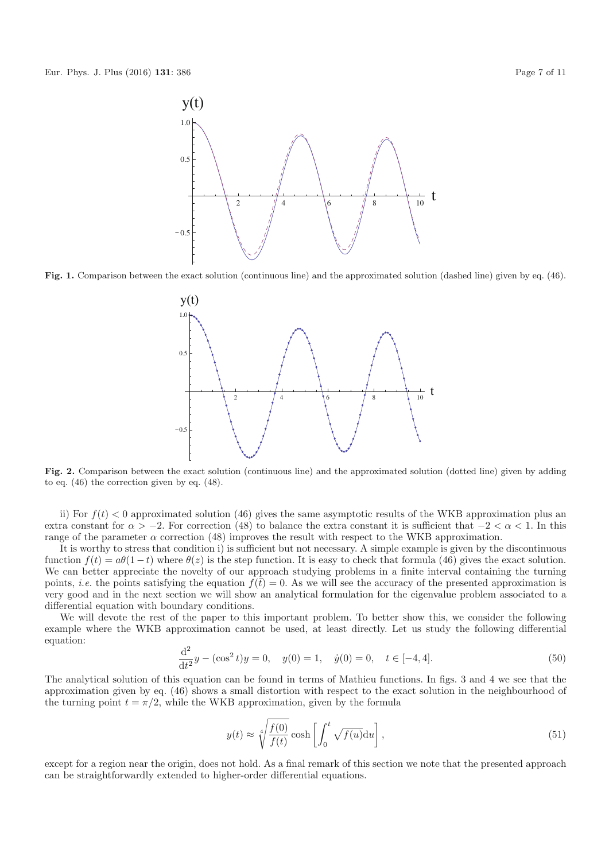

**Fig. 1.** Comparison between the exact solution (continuous line) and the approximated solution (dashed line) given by eq. (46).



**Fig. 2.** Comparison between the exact solution (continuous line) and the approximated solution (dotted line) given by adding to eq. (46) the correction given by eq. (48).

ii) For  $f(t) < 0$  approximated solution (46) gives the same asymptotic results of the WKB approximation plus an extra constant for  $\alpha > -2$ . For correction (48) to balance the extra constant it is sufficient that  $-2 < \alpha < 1$ . In this range of the parameter  $\alpha$  correction (48) improves the result with respect to the WKB approximation.

It is worthy to stress that condition i) is sufficient but not necessary. A simple example is given by the discontinuous function  $f(t) = a\theta(1-t)$  where  $\theta(z)$  is the step function. It is easy to check that formula (46) gives the exact solution. We can better appreciate the novelty of our approach studying problems in a finite interval containing the turning points, *i.e.* the points satisfying the equation  $f(\bar{t}) = 0$ . As we will see the accuracy of the presented approximation is very good and in the next section we will show an analytical formulation for the eigenvalue problem associated to a differential equation with boundary conditions.

We will devote the rest of the paper to this important problem. To better show this, we consider the following example where the WKB approximation cannot be used, at least directly. Let us study the following differential equation:

$$
\frac{d^2}{dt^2}y - (\cos^2 t)y = 0, \quad y(0) = 1, \quad \dot{y}(0) = 0, \quad t \in [-4, 4].
$$
\n(50)

The analytical solution of this equation can be found in terms of Mathieu functions. In figs. 3 and 4 we see that the approximation given by eq. (46) shows a small distortion with respect to the exact solution in the neighbourhood of the turning point  $t = \pi/2$ , while the WKB approximation, given by the formula

$$
y(t) \approx \sqrt[4]{\frac{f(0)}{f(t)}} \cosh\left[\int_0^t \sqrt{f(u)} \mathrm{d}u\right],\tag{51}
$$

except for a region near the origin, does not hold. As a final remark of this section we note that the presented approach can be straightforwardly extended to higher-order differential equations.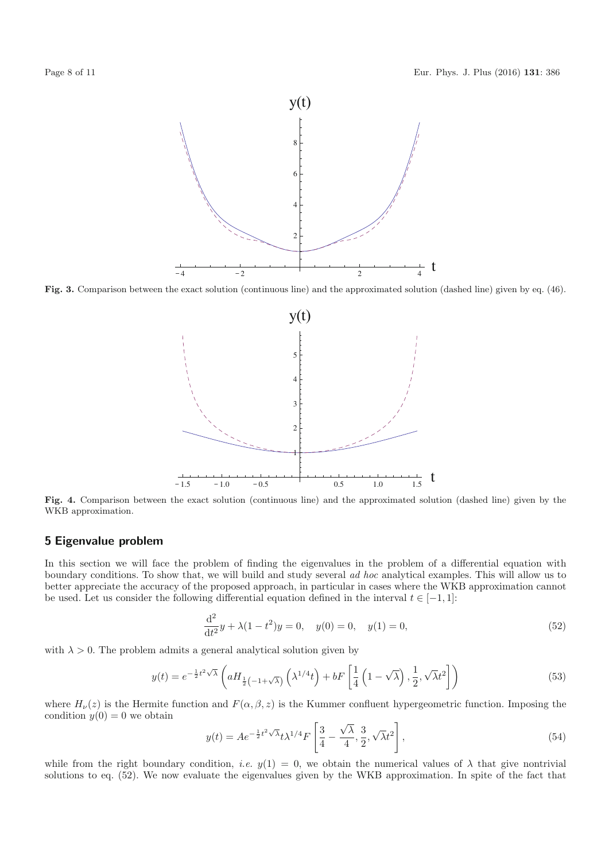

**Fig. 3.** Comparison between the exact solution (continuous line) and the approximated solution (dashed line) given by eq. (46).



**Fig. 4.** Comparison between the exact solution (continuous line) and the approximated solution (dashed line) given by the WKB approximation.

## **5 Eigenvalue problem**

In this section we will face the problem of finding the eigenvalues in the problem of a differential equation with boundary conditions. To show that, we will build and study several ad hoc analytical examples. This will allow us to better appreciate the accuracy of the proposed approach, in particular in cases where the WKB approximation cannot be used. Let us consider the following differential equation defined in the interval  $t \in [-1, 1]$ :

$$
\frac{\mathrm{d}^2}{\mathrm{d}t^2}y + \lambda(1 - t^2)y = 0, \quad y(0) = 0, \quad y(1) = 0,\tag{52}
$$

with  $\lambda > 0$ . The problem admits a general analytical solution given by

$$
y(t) = e^{-\frac{1}{2}t^2\sqrt{\lambda}} \left( aH_{\frac{1}{2}\left(-1+\sqrt{\lambda}\right)} \left(\lambda^{1/4}t\right) + bF\left[\frac{1}{4}\left(1-\sqrt{\lambda}\right), \frac{1}{2}, \sqrt{\lambda}t^2\right] \right)
$$
(53)

where  $H_{\nu}(z)$  is the Hermite function and  $F(\alpha,\beta,z)$  is the Kummer confluent hypergeometric function. Imposing the condition  $y(0) = 0$  we obtain √

$$
y(t) = Ae^{-\frac{1}{2}t^2\sqrt{\lambda}}t\lambda^{1/4}F\left[\frac{3}{4} - \frac{\sqrt{\lambda}}{4}, \frac{3}{2}, \sqrt{\lambda}t^2\right],
$$
 (54)

while from the right boundary condition, *i.e.*  $y(1) = 0$ , we obtain the numerical values of  $\lambda$  that give nontrivial solutions to eq. (52). We now evaluate the eigenvalues given by the WKB approximation. In spite of the fact that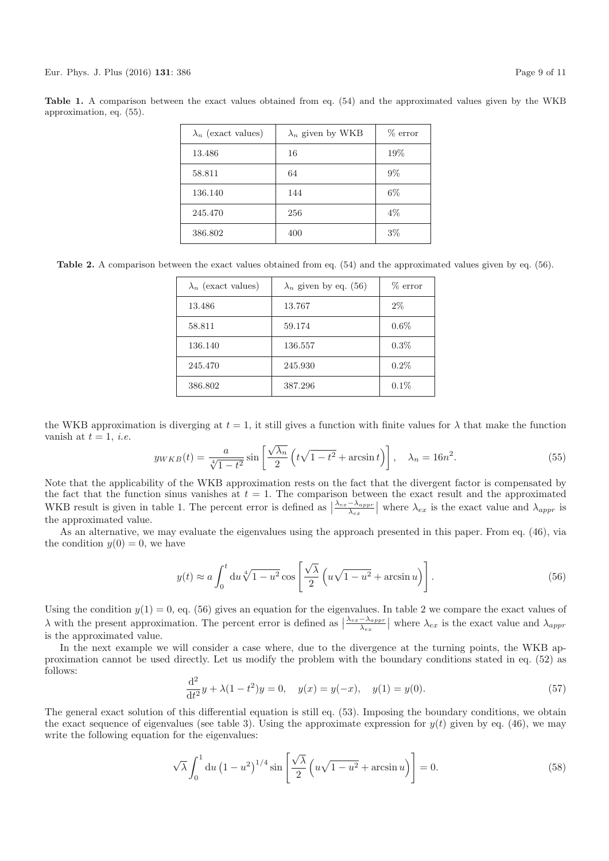| $\lambda_n$ (exact values) | $\lambda_n$ given by WKB | $%$ error |
|----------------------------|--------------------------|-----------|
| 13.486                     | 16                       | 19%       |
| 58.811                     | 64                       | $9\%$     |
| 136.140                    | 144                      | $6\%$     |
| 245.470                    | 256                      | $4\%$     |
| 386.802                    | 400                      | $3\%$     |

**Table 1.** A comparison between the exact values obtained from eq. (54) and the approximated values given by the WKB approximation, eq. (55).

**Table 2.** A comparison between the exact values obtained from eq. (54) and the approximated values given by eq. (56).

| $\lambda_n$ (exact values) | $\lambda_n$ given by eq. (56) | $\%$ error |
|----------------------------|-------------------------------|------------|
| 13.486                     | 13.767                        | $2\%$      |
| 58.811                     | 59.174                        | $0.6\%$    |
| 136.140                    | 136.557                       | $0.3\%$    |
| 245.470                    | 245.930                       | 0.2%       |
| 386.802                    | 387.296                       | 0.1%       |

the WKB approximation is diverging at  $t = 1$ , it still gives a function with finite values for  $\lambda$  that make the function vanish at  $t = 1$ , *i.e.* 

$$
y_{WKB}(t) = \frac{a}{\sqrt[4]{1-t^2}} \sin\left[\frac{\sqrt{\lambda_n}}{2}\left(t\sqrt{1-t^2} + \arcsin t\right)\right], \quad \lambda_n = 16n^2.
$$
 (55)

Note that the applicability of the WKB approximation rests on the fact that the divergent factor is compensated by the fact that the function sinus vanishes at  $t = 1$ . The comparison between the exact result and the approximated WKB result is given in table 1. The percent error is defined as  $\frac{\lambda_{ex}-\lambda_{appr}}{\lambda_{ex}}$  $\frac{-\lambda_{appr}}{\lambda_{ex}}$  where  $\lambda_{ex}$  is the exact value and  $\lambda_{appr}$  is the approximated value.

As an alternative, we may evaluate the eigenvalues using the approach presented in this paper. From eq. (46), via the condition  $y(0) = 0$ , we have

$$
y(t) \approx a \int_0^t du \sqrt[4]{1 - u^2} \cos \left[ \frac{\sqrt{\lambda}}{2} \left( u \sqrt{1 - u^2} + \arcsin u \right) \right]. \tag{56}
$$

Using the condition  $y(1) = 0$ , eq. (56) gives an equation for the eigenvalues. In table 2 we compare the exact values of  $\lambda$  with the present approximation. The percent error is defined as  $\frac{\lambda_{ex}-\lambda_{appr}}{\lambda_{ex}}$  $\frac{-\lambda_{appr}}{\lambda_{ex}}$  where  $\lambda_{ex}$  is the exact value and  $\lambda_{appr}$ is the approximated value.

In the next example we will consider a case where, due to the divergence at the turning points, the WKB approximation cannot be used directly. Let us modify the problem with the boundary conditions stated in eq. (52) as follows:

$$
\frac{d^2}{dt^2}y + \lambda(1 - t^2)y = 0, \quad y(x) = y(-x), \quad y(1) = y(0).
$$
\n(57)

The general exact solution of this differential equation is still eq. (53). Imposing the boundary conditions, we obtain the exact sequence of eigenvalues (see table 3). Using the approximate expression for  $y(t)$  given by eq. (46), we may write the following equation for the eigenvalues:

$$
\sqrt{\lambda} \int_0^1 du \left(1 - u^2\right)^{1/4} \sin\left[\frac{\sqrt{\lambda}}{2} \left(u\sqrt{1 - u^2} + \arcsin u\right)\right] = 0. \tag{58}
$$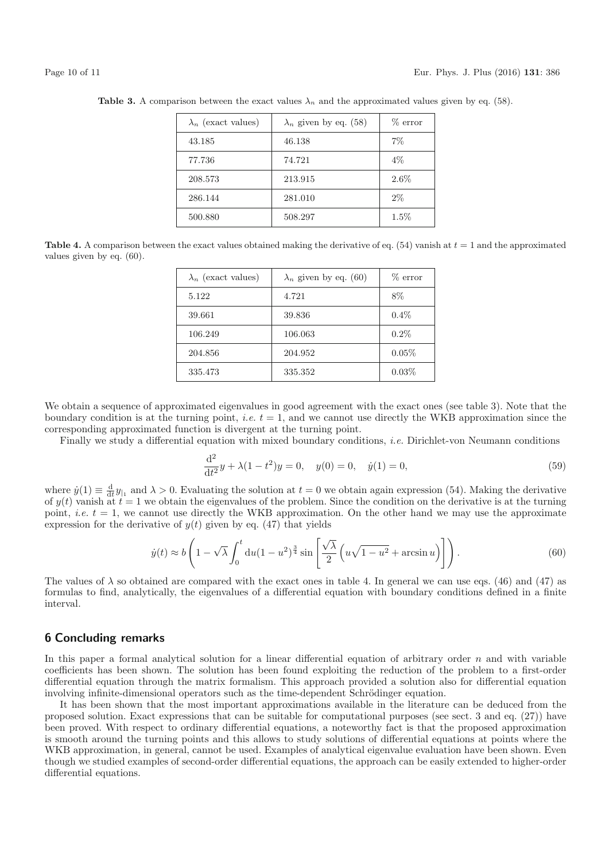| $\lambda_n$ (exact values) | $\lambda_n$ given by eq. (58) | $%$ error |
|----------------------------|-------------------------------|-----------|
| 43.185                     | 46.138                        | $7\%$     |
| 77.736                     | 74.721                        | $4\%$     |
| 208.573                    | 213.915                       | $2.6\%$   |
| 286.144                    | 281.010                       | $2\%$     |
| 500.880                    | 508.297                       | 1.5%      |

**Table 3.** A comparison between the exact values  $\lambda_n$  and the approximated values given by eq. (58).

**Table 4.** A comparison between the exact values obtained making the derivative of eq.  $(54)$  vanish at  $t = 1$  and the approximated values given by eq. (60).

| $\lambda_n$ (exact values) | $\lambda_n$ given by eq. (60) | $\%$ error |
|----------------------------|-------------------------------|------------|
| 5.122                      | 4.721                         | 8%         |
| 39.661                     | 39.836                        | $0.4\%$    |
| 106.249                    | 106.063                       | $0.2\%$    |
| 204.856                    | 204.952                       | $0.05\%$   |
| 335.473                    | 335.352                       | $0.03\%$   |

We obtain a sequence of approximated eigenvalues in good agreement with the exact ones (see table 3). Note that the boundary condition is at the turning point, *i.e.*  $t = 1$ , and we cannot use directly the WKB approximation since the corresponding approximated function is divergent at the turning point.

Finally we study a differential equation with mixed boundary conditions, i.e. Dirichlet-von Neumann conditions

$$
\frac{d^2}{dt^2}y + \lambda(1 - t^2)y = 0, \quad y(0) = 0, \quad \dot{y}(1) = 0,
$$
\n(59)

where  $\dot{y}(1) \equiv \frac{d}{dt} y_{1}$  and  $\lambda > 0$ . Evaluating the solution at  $t = 0$  we obtain again expression (54). Making the derivative of  $y(t)$  vanish at  $t = 1$  we obtain the eigenvalues of the problem. Since the condition on the derivative is at the turning point, *i.e.*  $t = 1$ , we cannot use directly the WKB approximation. On the other hand we may use the approximate expression for the derivative of  $y(t)$  given by eq. (47) that yields

$$
\dot{y}(t) \approx b \left( 1 - \sqrt{\lambda} \int_0^t \mathrm{d}u (1 - u^2)^{\frac{3}{4}} \sin \left[ \frac{\sqrt{\lambda}}{2} \left( u \sqrt{1 - u^2} + \arcsin u \right) \right] \right). \tag{60}
$$

The values of  $\lambda$  so obtained are compared with the exact ones in table 4. In general we can use eqs. (46) and (47) as formulas to find, analytically, the eigenvalues of a differential equation with boundary conditions defined in a finite interval.

## **6 Concluding remarks**

In this paper a formal analytical solution for a linear differential equation of arbitrary order  $n$  and with variable coefficients has been shown. The solution has been found exploiting the reduction of the problem to a first-order differential equation through the matrix formalism. This approach provided a solution also for differential equation involving infinite-dimensional operators such as the time-dependent Schrödinger equation.

It has been shown that the most important approximations available in the literature can be deduced from the proposed solution. Exact expressions that can be suitable for computational purposes (see sect. 3 and eq. (27)) have been proved. With respect to ordinary differential equations, a noteworthy fact is that the proposed approximation is smooth around the turning points and this allows to study solutions of differential equations at points where the WKB approximation, in general, cannot be used. Examples of analytical eigenvalue evaluation have been shown. Even though we studied examples of second-order differential equations, the approach can be easily extended to higher-order differential equations.